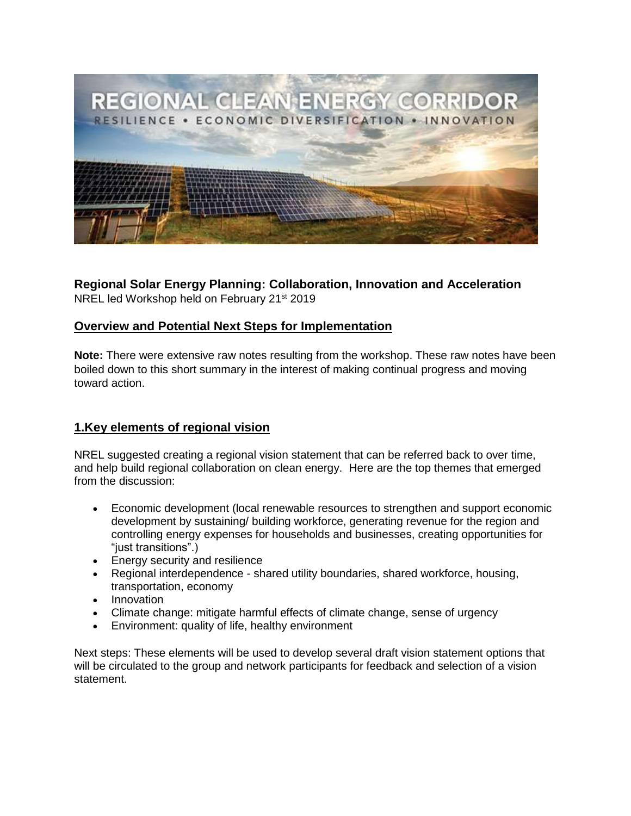

# **Regional Solar Energy Planning: Collaboration, Innovation and Acceleration**

NREL led Workshop held on February 21st 2019

# **Overview and Potential Next Steps for Implementation**

**Note:** There were extensive raw notes resulting from the workshop. These raw notes have been boiled down to this short summary in the interest of making continual progress and moving toward action.

# **1.Key elements of regional vision**

NREL suggested creating a regional vision statement that can be referred back to over time, and help build regional collaboration on clean energy. Here are the top themes that emerged from the discussion:

- Economic development (local renewable resources to strengthen and support economic development by sustaining/ building workforce, generating revenue for the region and controlling energy expenses for households and businesses, creating opportunities for "just transitions".)
- Energy security and resilience
- Regional interdependence shared utility boundaries, shared workforce, housing, transportation, economy
- Innovation
- Climate change: mitigate harmful effects of climate change, sense of urgency
- Environment: quality of life, healthy environment

Next steps: These elements will be used to develop several draft vision statement options that will be circulated to the group and network participants for feedback and selection of a vision statement.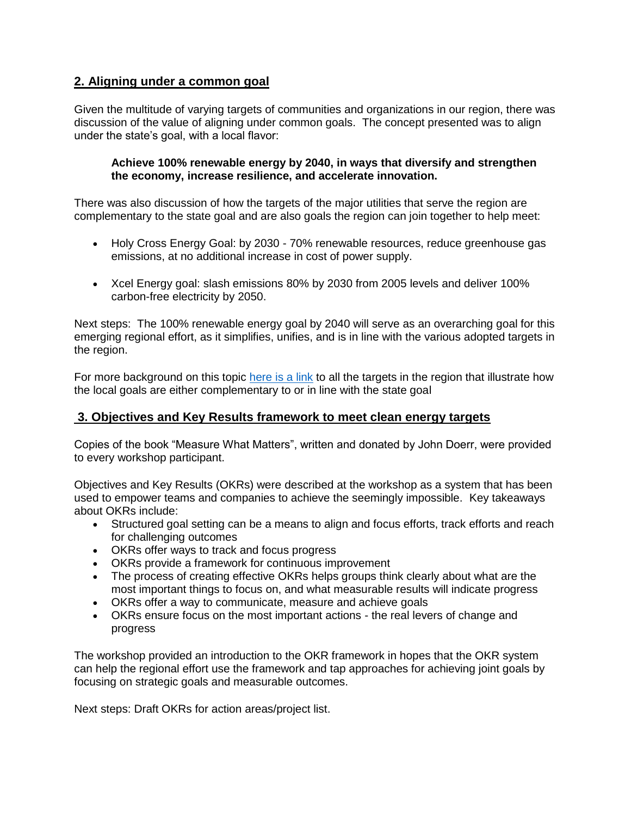## **2. Aligning under a common goal**

Given the multitude of varying targets of communities and organizations in our region, there was discussion of the value of aligning under common goals. The concept presented was to align under the state's goal, with a local flavor:

#### **Achieve 100% renewable energy by 2040, in ways that diversify and strengthen the economy, increase resilience, and accelerate innovation.**

There was also discussion of how the targets of the major utilities that serve the region are complementary to the state goal and are also goals the region can join together to help meet:

- Holy Cross Energy Goal: by 2030 70% renewable resources, reduce greenhouse gas emissions, at no additional increase in cost of power supply.
- Xcel Energy goal: slash emissions 80% by 2030 from 2005 levels and deliver 100% carbon-free electricity by 2050.

Next steps: The 100% renewable energy goal by 2040 will serve as an overarching goal for this emerging regional effort, as it simplifies, unifies, and is in line with the various adopted targets in the region.

For more background on this topic [here is a link](https://cleanenergyeconomy.net/wp-content/uploads/2019/03/Regional-targets.pdf) to all the targets in the region that illustrate how the local goals are either complementary to or in line with the state goal

## **3. Objectives and Key Results framework to meet clean energy targets**

Copies of the book "Measure What Matters", written and donated by John Doerr, were provided to every workshop participant.

Objectives and Key Results (OKRs) were described at the workshop as a system that has been used to empower teams and companies to achieve the seemingly impossible. Key takeaways about OKRs include:

- Structured goal setting can be a means to align and focus efforts, track efforts and reach for challenging outcomes
- OKRs offer ways to track and focus progress
- OKRs provide a framework for continuous improvement
- The process of creating effective OKRs helps groups think clearly about what are the most important things to focus on, and what measurable results will indicate progress
- OKRs offer a way to communicate, measure and achieve goals
- OKRs ensure focus on the most important actions the real levers of change and progress

The workshop provided an introduction to the OKR framework in hopes that the OKR system can help the regional effort use the framework and tap approaches for achieving joint goals by focusing on strategic goals and measurable outcomes.

Next steps: Draft OKRs for action areas/project list.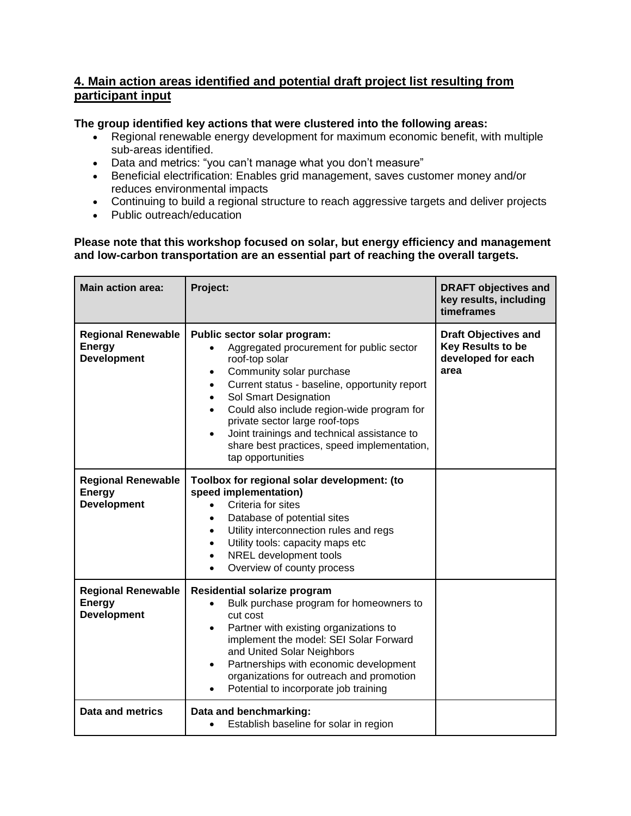## **4. Main action areas identified and potential draft project list resulting from participant input**

### **The group identified key actions that were clustered into the following areas:**

- Regional renewable energy development for maximum economic benefit, with multiple sub-areas identified.
- Data and metrics: "you can't manage what you don't measure"
- Beneficial electrification: Enables grid management, saves customer money and/or reduces environmental impacts
- Continuing to build a regional structure to reach aggressive targets and deliver projects
- Public outreach/education

#### **Please note that this workshop focused on solar, but energy efficiency and management and low-carbon transportation are an essential part of reaching the overall targets.**

| <b>Main action area:</b>                                         | Project:                                                                                                                                                                                                                                                                                                                                                                                                                                   | <b>DRAFT objectives and</b><br>key results, including<br>timeframes                   |
|------------------------------------------------------------------|--------------------------------------------------------------------------------------------------------------------------------------------------------------------------------------------------------------------------------------------------------------------------------------------------------------------------------------------------------------------------------------------------------------------------------------------|---------------------------------------------------------------------------------------|
| <b>Regional Renewable</b><br><b>Energy</b><br><b>Development</b> | Public sector solar program:<br>Aggregated procurement for public sector<br>roof-top solar<br>Community solar purchase<br>Current status - baseline, opportunity report<br>$\bullet$<br>Sol Smart Designation<br>$\bullet$<br>Could also include region-wide program for<br>$\bullet$<br>private sector large roof-tops<br>Joint trainings and technical assistance to<br>share best practices, speed implementation,<br>tap opportunities | <b>Draft Objectives and</b><br><b>Key Results to be</b><br>developed for each<br>area |
| <b>Regional Renewable</b><br><b>Energy</b><br><b>Development</b> | Toolbox for regional solar development: (to<br>speed implementation)<br>Criteria for sites<br>Database of potential sites<br>$\bullet$<br>Utility interconnection rules and regs<br>$\bullet$<br>Utility tools: capacity maps etc<br>$\bullet$<br>NREL development tools<br>$\bullet$<br>Overview of county process                                                                                                                        |                                                                                       |
| <b>Regional Renewable</b><br><b>Energy</b><br><b>Development</b> | <b>Residential solarize program</b><br>Bulk purchase program for homeowners to<br>$\bullet$<br>cut cost<br>Partner with existing organizations to<br>$\bullet$<br>implement the model: SEI Solar Forward<br>and United Solar Neighbors<br>Partnerships with economic development<br>$\bullet$<br>organizations for outreach and promotion<br>Potential to incorporate job training                                                         |                                                                                       |
| <b>Data and metrics</b>                                          | Data and benchmarking:<br>Establish baseline for solar in region<br>$\bullet$                                                                                                                                                                                                                                                                                                                                                              |                                                                                       |